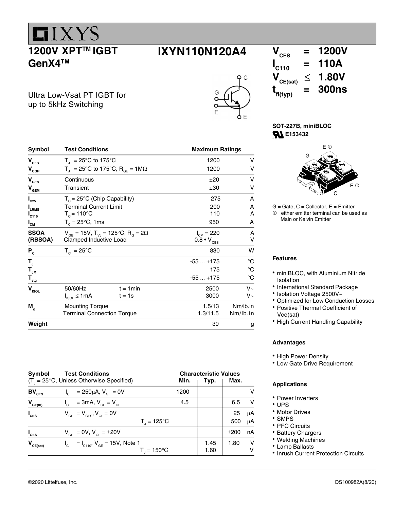1200V XPT™ IGBT GenX4™

**LIXYS** 

### $IXYN110N120A4$   $V_{\text{ces}} = 1200V$

 $\mathcal{C}$ 

Ultra Low-Vsat PT IGBT for up to 5kHz Switching

| Symbol                                        | <b>Test Conditions</b>                |                                                                      | <b>Maximum Ratings</b>     |             |
|-----------------------------------------------|---------------------------------------|----------------------------------------------------------------------|----------------------------|-------------|
| V <sub>CES</sub>                              | $T_{\parallel}$ = 25°C to 175°C       |                                                                      | 1200                       | v           |
| V <sub>cgr</sub>                              |                                       | T <sub>1</sub> = 25°C to 175°C, R <sub>GE</sub> = 1M $\Omega$        | 1200                       | v           |
| V <sub>ges</sub>                              | Continuous                            |                                                                      | ±20                        | v           |
| $\mathsf{V}_{_{\mathsf{GEM}}}$                | Transient                             |                                                                      | ±30                        | v           |
| $\mathsf{I}_{\textsf{c}\textsf{z}\textsf{s}}$ | $T_c = 25^{\circ}C$ (Chip Capability) |                                                                      | 275                        | A           |
| LRMS                                          | <b>Terminal Current Limit</b>         |                                                                      | 200                        | A           |
| $\mathbf{I}_{\mathsf{C110}}$                  | $T_c = 110^{\circ}$ C                 |                                                                      | 110                        | A           |
| $\mathsf{I}_{\mathsf{CM}}$                    | $T_c = 25^{\circ}$ C, 1ms             |                                                                      | 950                        | A           |
| SSOA                                          |                                       | $V_{GE}$ = 15V, T <sub>vJ</sub> = 125°C, R <sub>G</sub> = 2 $\Omega$ | $I_{CM} = 220$             | A           |
| (RBSOA)                                       | Clamped Inductive Load                |                                                                      | $0.8 \cdot V_{\text{CES}}$ | v           |
| $P_c$                                         | $T_c = 25^{\circ}C$                   |                                                                      | 830                        | w           |
| T,                                            |                                       |                                                                      | $-55+175$                  | °C          |
| T <sub>jm</sub>                               |                                       |                                                                      | 175                        | $^{\circ}C$ |
| $\mathsf{T}_{_{\sf{stg}}}$                    |                                       |                                                                      | $-55+175$                  | $^{\circ}C$ |
| V <sub>ISOL</sub>                             | 50/60Hz                               | $t = 1$ min                                                          | 2500                       | $V_{\sim}$  |
|                                               | $I_{ISOL} \leq 1mA$                   | $t = 1s$                                                             | 3000                       | $V_{\sim}$  |
| M <sub>d</sub>                                | <b>Mounting Torque</b>                |                                                                      | 1.5/13                     | Nm/lb.in    |
|                                               | <b>Terminal Connection Torque</b>     |                                                                      | 1.3/11.5                   | Nm/lb.in    |
| Weight                                        |                                       |                                                                      | 30                         | g           |

Symbol Test Conditions Characteristic Values  $(T_{j} = 25^{\circ}C$ , Unless Otherwise Specified) **Min. Min. Typ. Max. BV**<sub>CES</sub> I<sub>C</sub> = 250µA, V<sub>GE</sub> = 0V 1200 1200 V  $V_{GE(th)}$   $I_c$  = 3mA,  $V_{CE} = V_{GE}$  4.5 6.5 V  $I_{\text{ces}}$   $V_{\text{ce}} = V_{\text{ces}}, V_{\text{ge}} = 0V$  25  $\mu$ A  $\mathsf{T}_{\mathsf{J}}$  $T = 125^{\circ}C$  | 500  $\mu$ A  $I_{\text{GES}}$   $V_{\text{CE}} = 0V$ ,  $V_{\text{GE}} = \pm 20V$   $\pm 200$  nA  $V_{CE(sat)}$   $I_c = I_{C110}$ ,  $V_{GE} = 15V$ , Note 1 1.45 1.80 V  $\mathbf{T}_\mathrm{J}$  and  $\mathbf{T}_\mathrm{J}$  $T_{1} = 150^{\circ}C$ 

 $I_{\text{C110}}$  = 110A<br>  $V_{\text{CE(sat)}}$   $\leq$  1.80V  $\leq$  1.80V  $t_{\text{fi(typ)}}$  $= 300$ ns

SOT-227B, miniBLOC **E153432** 



 $G =$  Gate,  $C =$  Collector,  $E =$  Emitter  $<sup>①</sup>$  either emitter terminal can be used as</sup> Main or Kelvin Emitter

#### Features

- miniBLOC, with Aluminium Nitride Isolation
- International Standard Package
- Isolation Voltage 2500V~
- Optimized for Low Conduction Losses
- Positive Thermal Coefficient of Vce(sat)
- High Current Handling Capability

#### Advantages

- High Power Density
- Low Gate Drive Requirement

#### Applications

- Power Inverters
- UPS
- Motor Drives
- SMPS
- PFC Circuits
- Battery Chargers
- Welding Machines
- Lamp Ballasts
- Inrush Current Protection Circuits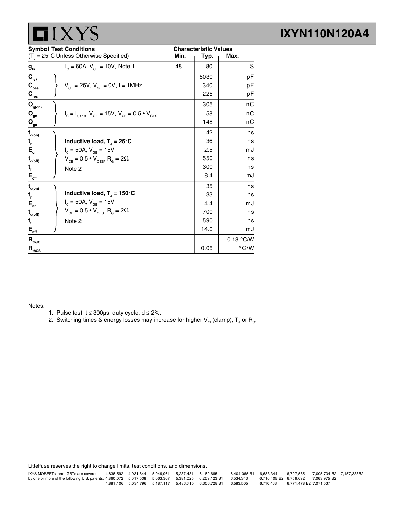

|                                         | <b>Symbol Test Conditions</b>                                     |      | <b>Characteristic Values</b> |               |
|-----------------------------------------|-------------------------------------------------------------------|------|------------------------------|---------------|
|                                         | $(T_{\text{J}} = 25^{\circ} \text{C}$ Unless Otherwise Specified) | Min. | Typ.                         | Max.          |
| $g_{\rm fs}$                            | $I_c = 60A$ , $V_{ce} = 10V$ , Note 1                             | 48   | 80                           | S             |
| $\mathbf{C}_{\text{ies}}$               |                                                                   |      | 6030                         | pF            |
| $\mathbf{C}_{\text{oes}}$               | $V_{CF} = 25V$ , $V_{GF} = 0V$ , $f = 1MHz$                       |      | 340                          | рF            |
| $C_{res}$                               |                                                                   |      | 225                          | рF            |
| $\mathbf{Q}_{\text{g(on)}}$             |                                                                   |      | 305                          | nС            |
| $\mathbf{Q}_{_{\mathbf{ge}}}$           | $I_c = I_{C110}$ , $V_{GE} = 15V$ , $V_{CE} = 0.5 \cdot V_{CES}$  |      | 58                           | nС            |
| $\mathbf{Q}_{\underline{\mathrm{gc}}}$  |                                                                   |      | 148                          | nС            |
| $\mathbf{t}_{\mathsf{d}(on)}$           |                                                                   |      | 42                           | ns            |
| $t_{\rm n}$                             | Inductive load, $T_1 = 25^{\circ}C$                               |      | 36                           | ns            |
| $E_{\rm on}$                            | $I_c = 50A, V_{GE} = 15V$                                         |      | 2.5                          | mJ            |
| $\mathbf{t}_{\mathsf{d}(\mathsf{off})}$ | $V_{CE} = 0.5 \cdot V_{CES}$ , R <sub>G</sub> = 2 $\Omega$        |      | 550                          | ns            |
| $t_{\rm fl}$                            | Note 2                                                            |      | 300                          | ns            |
| $E_{_{\sf off}}$                        |                                                                   |      | 8.4                          | mJ            |
| $\mathbf{t}_{\mathsf{d}(\mathsf{on})}$  |                                                                   |      | 35                           | ns            |
| $t_{\rm n}$                             | Inductive load, $T_1 = 150^{\circ}$ C                             |      | 33                           | ns            |
| $E_{\rm on}$                            | $I_c = 50A, V_{SF} = 15V$                                         |      | 4.4                          | mJ            |
| $\mathbf{t}_{\mathsf{d}(\mathsf{off})}$ | $V_{CE} = 0.5 \cdot V_{CES}$ , R <sub>G</sub> = 2 $\Omega$        |      | 700                          | ns            |
| $t_{fi}$                                | Note 2                                                            |      | 590                          | ns            |
| $\mathsf{E}_{_{\sf off}}$               |                                                                   |      | 14.0                         | mJ            |
| $\mathbf{R}_{\text{thJC}}$              |                                                                   |      |                              | 0.18 °C/W     |
| $R_{\text{thCS}}$                       |                                                                   |      | 0.05                         | $\degree$ C/W |

Notes:

- 1. Pulse test,  $t \le 300 \mu s$ , duty cycle,  $d \le 2\%$ .
- 2. Switching times & energy losses may increase for higher  $\mathsf{V}_{\varepsilon \varepsilon}$ (clamp),  $\mathsf{T}_{\text{J}}$  or  $\mathsf{R}_{\text{g}}$ .

Littelfuse reserves the right to change limits, test conditions, and dimensions.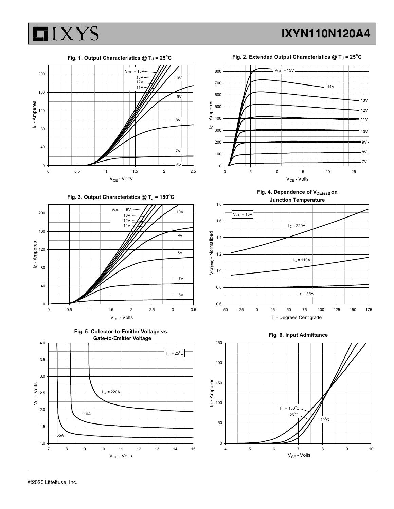

Fig. 1. Output Characteristics  $@T_J = 25°C$ 0 40 80 120 160 200 <del>| | | | | | | | | | | | | | |</del> ' <sup>v</sup> = - ' ' ' | <del>| 7/</del>  $V_{CE}$  - Volts  $\sum_{\substack{\mathbf{a} \text{ odd} \ \mathbf{b} \ \mathbf{c} \ \mathbf{c}}}^{a_{\mathbf{a}} \ \mathbf{c} \ \mathbf{c}}$  $VGE = 15V$   $13V$   $10V$   $10V$   $800$  $13V - 4111$  10V  $11V - H H / I$ 







Fig. 2. Extended Output Characteristics  $@T_J = 25°C$ 



Fig. 4. Dependence of V<sub>CE(sat)</sub> on Junction Temperature



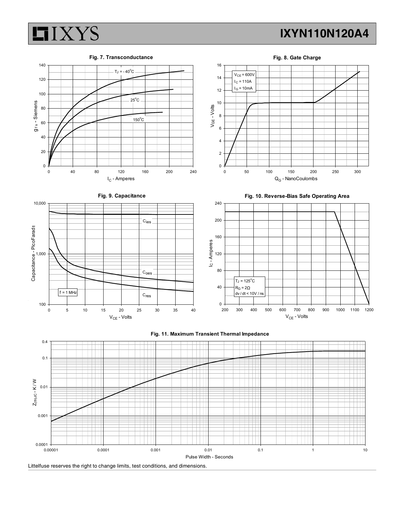



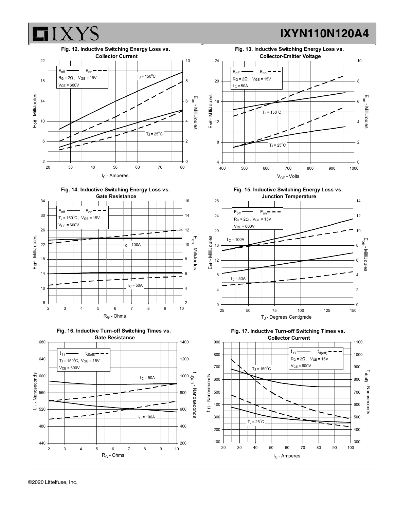

Fig. 14. Inductive Switching Energy Loss vs.









Fig. 15. Inductive Switching Energy Loss vs.





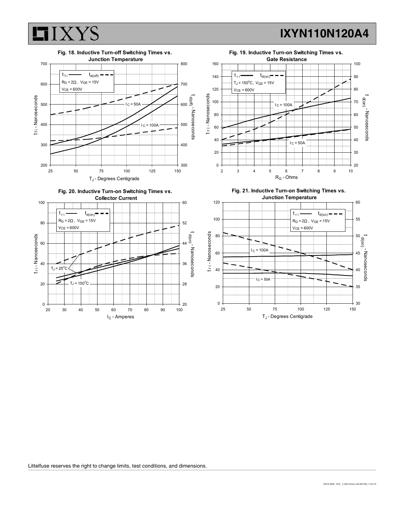







Fig. 21. Inductive Turn-on Switching Times vs. Junction Temperature<br>  $\begin{array}{|c|c|c|c|c|c|}\n\hline\n\hline\n\end{array}$  60

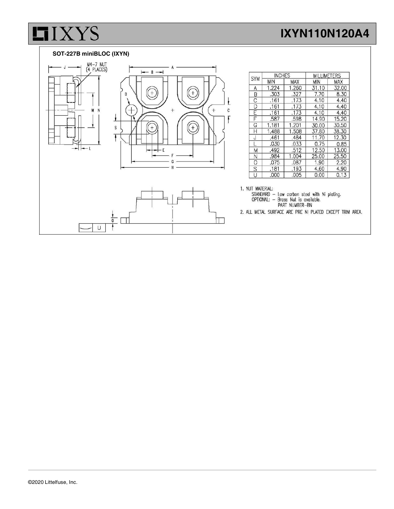#### SOT-227B miniBLOC (IXYN)

**LIXYS** 



| <b>SYM</b> | <b>INCHES</b> |            | <b>MILLIMETERS</b> |            |
|------------|---------------|------------|--------------------|------------|
|            | <b>MIN</b>    | <b>MAX</b> | MIN                | <b>MAX</b> |
| Α          | 1.224         | 1.260      | 31.10              | 32.00      |
| B          | .303          | .327       | 7.70               | 8.30       |
| C          | .161          | .173       | 4.10               | 4.40       |
| D          | .161          | .173       | 4.10               | 4.40       |
| F          | .161          | .173       | 4.10               | 4.40       |
| F          | .587          | .598       | 14.90              | 15.20      |
| G          | 1.181         | 1.201      | 30.00              | 30.50      |
| Н          | 1.488         | 1.508      | 37.80              | 38.30      |
| J          | .461          | .484       | 11.70              | 12.30      |
|            | .030          | .033       | 0.75               | 0.85       |
| M          | .492          | .512       | 12.50              | 13.00      |
| Ν          | .984          | 1.004      | 25.00              | 25.50      |
| O          | .075          | .087       | 1.90               | 2.20       |
| S          | .181          | .193       | 4.60               | 4.90       |
| U          | .000          | .005       | 0.00               | 0.13       |

1. NUT MATERIAL:

THE STANDARD - Low carbon steel with Ni plating.<br>
STANDARD - Brass Nut is available.<br>
PART NUMBER-BN

2. ALL METAL SURFACE ARE PRE NI PLATED EXCEPT TRIM AREA.